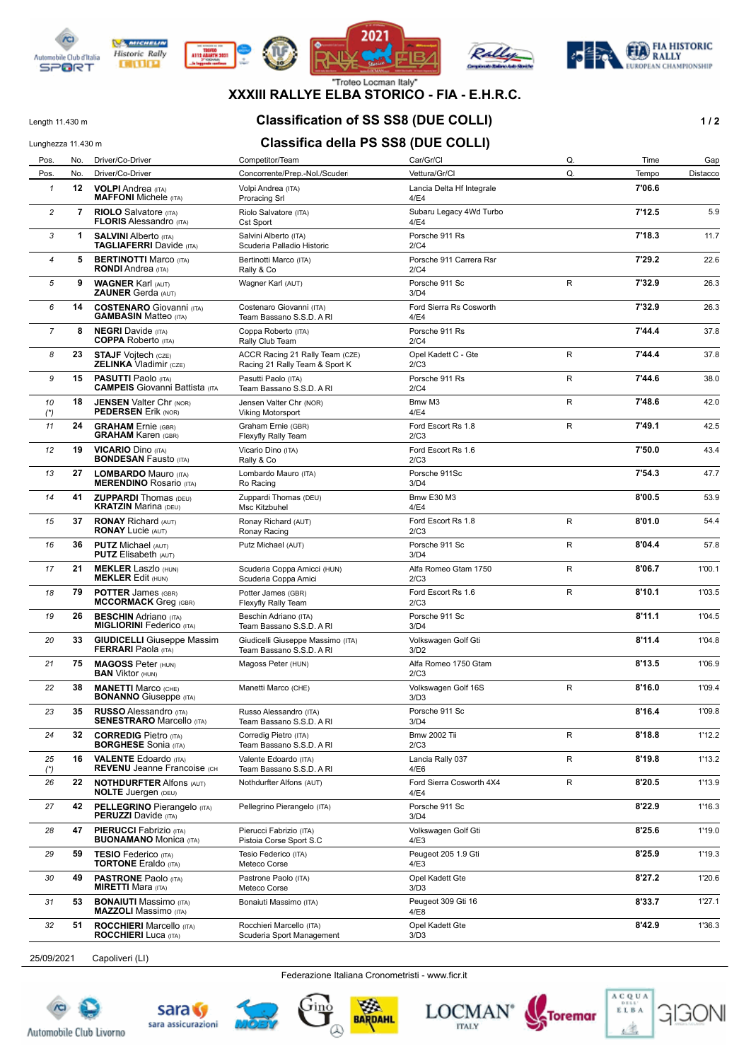

**WE MICHELIN** 

**Historic Rally** 

**DITURN** 









#### **XXXIII RALLYE ELBA STORICO - FIA - E.H.R.C.**

## Length 11.430 m **Classification of SS SS8 (DUE COLLI) 1/2**

#### Lunghezza 11.430 m<br>**Classifica della PS SS8 (DUE COLLI)**

| Pos.           | No. | Driver/Co-Driver                                                    | Competitor/Team                                                   | Car/Gr/Cl                         | Q. | Time   | Gap      |
|----------------|-----|---------------------------------------------------------------------|-------------------------------------------------------------------|-----------------------------------|----|--------|----------|
| Pos.           | No. | Driver/Co-Driver                                                    | Concorrente/Prep.-Nol./Scuder                                     | Vettura/Gr/Cl                     | Q. | Tempo  | Distacco |
| 1              | 12  | <b>VOLPI</b> Andrea (ITA)<br><b>MAFFONI</b> Michele (ITA)           | Volpi Andrea (ITA)<br><b>Proracing Srl</b>                        | Lancia Delta Hf Integrale<br>4/E4 |    | 7'06.6 |          |
| 2              | 7   | <b>RIOLO</b> Salvatore (ITA)<br><b>FLORIS Alessandro (ITA)</b>      | Riolo Salvatore (ITA)<br>Cst Sport                                | Subaru Legacy 4Wd Turbo<br>4/E4   |    | 7'12.5 | 5.9      |
| 3              | 1   | <b>SALVINI Alberto (ITA)</b><br><b>TAGLIAFERRI</b> Davide (ITA)     | Salvini Alberto (ITA)<br>Scuderia Palladio Historic               | Porsche 911 Rs<br>2/C4            |    | 7'18.3 | 11.7     |
| $\overline{4}$ | 5   | <b>BERTINOTTI Marco (ITA)</b><br><b>RONDI</b> Andrea (ITA)          | Bertinotti Marco (ITA)<br>Rally & Co                              | Porsche 911 Carrera Rsr<br>2/C4   |    | 7'29.2 | 22.6     |
| 5              | 9   | <b>WAGNER Karl (AUT)</b><br><b>ZAUNER Gerda (AUT)</b>               | Wagner Karl (AUT)                                                 | Porsche 911 Sc<br>3/D4            | R  | 7'32.9 | 26.3     |
| 6              | 14  | <b>COSTENARO</b> Giovanni (ITA)<br><b>GAMBASIN Matteo (ITA)</b>     | Costenaro Giovanni (ITA)<br>Team Bassano S.S.D. A RI              | Ford Sierra Rs Cosworth<br>4/E4   |    | 7'32.9 | 26.3     |
| $\overline{7}$ | 8   | <b>NEGRI</b> Davide (ITA)<br><b>COPPA</b> Roberto (ITA)             | Coppa Roberto (ITA)<br>Rally Club Team                            | Porsche 911 Rs<br>2/C4            |    | 7'44.4 | 37.8     |
| 8              | 23  | <b>STAJF</b> Vojtech (CZE)<br><b>ZELINKA Vladimir (CZE)</b>         | ACCR Racing 21 Rally Team (CZE)<br>Racing 21 Rally Team & Sport K | Opel Kadett C - Gte<br>2/C3       | R  | 7'44.4 | 37.8     |
| 9              | 15  | <b>PASUTTI Paolo (ITA)</b><br><b>CAMPEIS</b> Giovanni Battista (ITA | Pasutti Paolo (ITA)<br>Team Bassano S.S.D. A RI                   | Porsche 911 Rs<br>2/C4            | R  | 7'44.6 | 38.0     |
| 10<br>$(*)$    | 18  | <b>JENSEN Valter Chr (NOR)</b><br><b>PEDERSEN Erik (NOR)</b>        | Jensen Valter Chr (NOR)<br><b>Viking Motorsport</b>               | Bmw M3<br>4/E4                    | R  | 7'48.6 | 42.0     |
| 11             | 24  | <b>GRAHAM</b> Ernie (GBR)<br><b>GRAHAM Karen (GBR)</b>              | Graham Ernie (GBR)<br>Flexyfly Rally Team                         | Ford Escort Rs 1.8<br>2/C3        | R  | 7'49.1 | 42.5     |
| 12             | 19  | <b>VICARIO Dino (ITA)</b><br><b>BONDESAN Fausto (ITA)</b>           | Vicario Dino (ITA)<br>Rally & Co                                  | Ford Escort Rs 1.6<br>2/C3        |    | 7'50.0 | 43.4     |
| 13             | 27  | <b>LOMBARDO</b> Mauro (ITA)<br><b>MERENDINO Rosario (ITA)</b>       | Lombardo Mauro (ITA)<br>Ro Racing                                 | Porsche 911Sc<br>3/D4             |    | 7'54.3 | 47.7     |
| 14             | 41  | <b>ZUPPARDI</b> Thomas (DEU)<br><b>KRATZIN Marina (DEU)</b>         | Zuppardi Thomas (DEU)<br>Msc Kitzbuhel                            | <b>Bmw E30 M3</b><br>4/E4         |    | 8'00.5 | 53.9     |
| 15             | 37  | <b>RONAY Richard (AUT)</b><br><b>RONAY Lucie (AUT)</b>              | Ronay Richard (AUT)<br>Ronay Racing                               | Ford Escort Rs 1.8<br>2/C3        | R  | 8'01.0 | 54.4     |
| 16             | 36  | <b>PUTZ Michael (AUT)</b><br><b>PUTZ</b> Elisabeth (AUT)            | Putz Michael (AUT)                                                | Porsche 911 Sc<br>3/D4            | R  | 8'04.4 | 57.8     |
| 17             | 21  | <b>MEKLER Laszlo (HUN)</b><br><b>MEKLER Edit (HUN)</b>              | Scuderia Coppa Amicci (HUN)<br>Scuderia Coppa Amici               | Alfa Romeo Gtam 1750<br>2/C3      | R  | 8'06.7 | 1'00.1   |
| 18             | 79  | <b>POTTER James (GBR)</b><br><b>MCCORMACK</b> Greg (GBR)            | Potter James (GBR)<br>Flexyfly Rally Team                         | Ford Escort Rs 1.6<br>2/C3        | R  | 8'10.1 | 1'03.5   |
| 19             | 26  | <b>BESCHIN</b> Adriano (ITA)<br><b>MIGLIORINI Federico</b> (ITA)    | Beschin Adriano (ITA)<br>Team Bassano S.S.D. A RI                 | Porsche 911 Sc<br>3/D4            |    | 8'11.1 | 1'04.5   |
| 20             | 33  | <b>GIUDICELLI</b> Giuseppe Massim<br><b>FERRARI</b> Paola (ITA)     | Giudicelli Giuseppe Massimo (ITA)<br>Team Bassano S.S.D. A RI     | Volkswagen Golf Gti<br>3/D2       |    | 8'11.4 | 1'04.8   |
| 21             | 75  | <b>MAGOSS Peter (HUN)</b><br><b>BAN</b> Viktor (HUN)                | Magoss Peter (HUN)                                                | Alfa Romeo 1750 Gtam<br>2/C3      |    | 8'13.5 | 1'06.9   |
| 22             | 38  | <b>MANETTI Marco (CHE)</b><br><b>BONANNO</b> Giuseppe (ITA)         | Manetti Marco (CHE)                                               | Volkswagen Golf 16S<br>3/D3       | R  | 8'16.0 | 1'09.4   |
| 23             | 35  | <b>RUSSO</b> Alessandro (ITA)<br><b>SENESTRARO</b> Marcello (ITA)   | Russo Alessandro (ITA)<br>Team Bassano S.S.D. A RI                | Porsche 911 Sc<br>3/D4            |    | 8'16.4 | 1'09.8   |
| 24             | 32  | <b>CORREDIG Pietro (ITA)</b><br><b>BORGHESE</b> Sonia (ITA)         | Corredig Pietro (ITA)<br>Team Bassano S.S.D. A RI                 | <b>Bmw 2002 Tii</b><br>2/C3       | R  | 8'18.8 | 1'12.2   |
| 25<br>$(*)$    | 16  | <b>VALENTE Edoardo</b> (ITA)<br><b>REVENU Jeanne Francoise (CH)</b> | Valente Edoardo (ITA)<br>Team Bassano S.S.D. A RI                 | Lancia Rally 037<br>4/E6          | R  | 8'19.8 | 1'13.2   |
| 26             | 22  | <b>NOTHDURFTER Alfons (AUT)</b><br><b>NOLTE Juergen (DEU)</b>       | Nothdurfter Alfons (AUT)                                          | Ford Sierra Cosworth 4X4<br>4/E4  | R  | 8'20.5 | 1'13.9   |
| 27             | 42  | <b>PELLEGRINO Pierangelo (ITA)</b><br><b>PERUZZI</b> Davide (ITA)   | Pellegrino Pierangelo (ITA)                                       | Porsche 911 Sc<br>3/D4            |    | 8'22.9 | 1'16.3   |
| 28             | 47  | <b>PIERUCCI</b> Fabrizio (ITA)<br><b>BUONAMANO</b> Monica (ITA)     | Pierucci Fabrizio (ITA)<br>Pistoia Corse Sport S.C                | Volkswagen Golf Gti<br>4/E3       |    | 8'25.6 | 1'19.0   |
| 29             | 59  | <b>TESIO Federico (ITA)</b><br><b>TORTONE Eraldo (ITA)</b>          | Tesio Federico (ITA)<br>Meteco Corse                              | Peugeot 205 1.9 Gti<br>4/E3       |    | 8'25.9 | 1'19.3   |
| 30             | 49  | <b>PASTRONE Paolo (ITA)</b><br><b>MIRETTI Mara</b> (ITA)            | Pastrone Paolo (ITA)<br>Meteco Corse                              | Opel Kadett Gte<br>3/D3           |    | 8'27.2 | 1'20.6   |
| 31             | 53  | <b>BONAIUTI</b> Massimo (ITA)<br><b>MAZZOLI</b> Massimo (ITA)       | Bonaiuti Massimo (ITA)                                            | Peugeot 309 Gti 16<br>4/E8        |    | 8'33.7 | 1'27.1   |
| 32             | 51  | <b>ROCCHIERI</b> Marcello (ITA)<br><b>ROCCHIERI</b> Luca (ITA)      | Rocchieri Marcello (ITA)<br>Scuderia Sport Management             | Opel Kadett Gte<br>3/D3           |    | 8'42.9 | 1'36.3   |
|                |     |                                                                     |                                                                   |                                   |    |        |          |

25/09/2021 Capoliveri (LI)

Federazione Italiana Cronometristi - www.ficr.it







BARDAHL